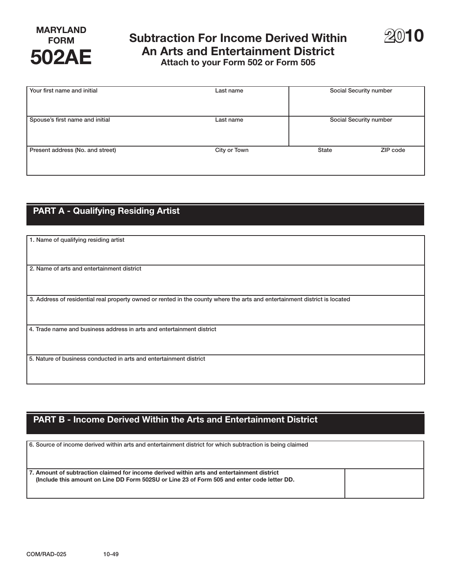# **FORM Subtraction For Income Derived Within An Arts and Entertainment District 502AE Attach to your Form 502 or Form 505**



| Your first name and initial      | Last name    | Social Security number |          |
|----------------------------------|--------------|------------------------|----------|
| Spouse's first name and initial  | Last name    | Social Security number |          |
| Present address (No. and street) | City or Town | <b>State</b>           | ZIP code |

### **PART A - Qualifying Residing Artist**

| 1. Name of qualifying residing artist                                                                                      |
|----------------------------------------------------------------------------------------------------------------------------|
|                                                                                                                            |
|                                                                                                                            |
|                                                                                                                            |
| 2. Name of arts and entertainment district                                                                                 |
|                                                                                                                            |
|                                                                                                                            |
|                                                                                                                            |
| 3. Address of residential real property owned or rented in the county where the arts and entertainment district is located |
|                                                                                                                            |
|                                                                                                                            |
| 4. Trade name and business address in arts and entertainment district                                                      |
|                                                                                                                            |
|                                                                                                                            |
|                                                                                                                            |
| 5. Nature of business conducted in arts and entertainment district                                                         |
|                                                                                                                            |
|                                                                                                                            |

## **PART B - Income Derived Within the Arts and Entertainment District**

6. Source of income derived within arts and entertainment district for which subtraction is being claimed **7. Amount of subtraction claimed for income derived within arts and entertainment district (Include this amount on Line DD Form 502SU or Line 23 of Form 505 and enter code letter DD.**